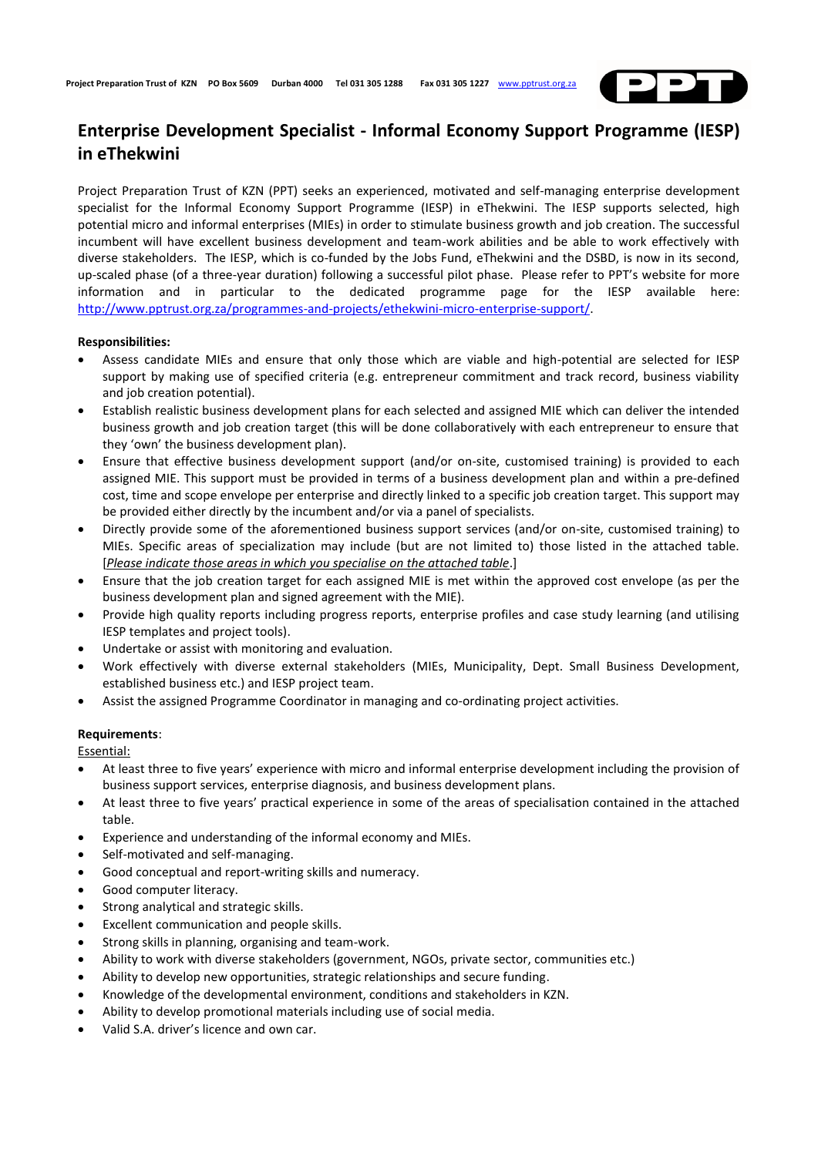

## **Enterprise Development Specialist - Informal Economy Support Programme (IESP) in eThekwini**

Project Preparation Trust of KZN (PPT) seeks an experienced, motivated and self-managing enterprise development specialist for the Informal Economy Support Programme (IESP) in eThekwini. The IESP supports selected, high potential micro and informal enterprises (MIEs) in order to stimulate business growth and job creation. The successful incumbent will have excellent business development and team-work abilities and be able to work effectively with diverse stakeholders. The IESP, which is co-funded by the Jobs Fund, eThekwini and the DSBD, is now in its second, up-scaled phase (of a three-year duration) following a successful pilot phase. Please refer to PPT's website for more information and in particular to the dedicated programme page for the IESP available here: [http://www.pptrust.org.za/programmes-and-projects/ethekwini-micro-enterprise-support/.](http://www.pptrust.org.za/programmes-and-projects/ethekwini-micro-enterprise-support/)

## **Responsibilities:**

- Assess candidate MIEs and ensure that only those which are viable and high-potential are selected for IESP support by making use of specified criteria (e.g. entrepreneur commitment and track record, business viability and job creation potential).
- Establish realistic business development plans for each selected and assigned MIE which can deliver the intended business growth and job creation target (this will be done collaboratively with each entrepreneur to ensure that they 'own' the business development plan).
- Ensure that effective business development support (and/or on-site, customised training) is provided to each assigned MIE. This support must be provided in terms of a business development plan and within a pre-defined cost, time and scope envelope per enterprise and directly linked to a specific job creation target. This support may be provided either directly by the incumbent and/or via a panel of specialists.
- Directly provide some of the aforementioned business support services (and/or on-site, customised training) to MIEs. Specific areas of specialization may include (but are not limited to) those listed in the attached table. [*Please indicate those areas in which you specialise on the attached table*.]
- Ensure that the job creation target for each assigned MIE is met within the approved cost envelope (as per the business development plan and signed agreement with the MIE).
- Provide high quality reports including progress reports, enterprise profiles and case study learning (and utilising IESP templates and project tools).
- Undertake or assist with monitoring and evaluation.
- Work effectively with diverse external stakeholders (MIEs, Municipality, Dept. Small Business Development, established business etc.) and IESP project team.
- Assist the assigned Programme Coordinator in managing and co-ordinating project activities.

## **Requirements**:

Essential:

- At least three to five years' experience with micro and informal enterprise development including the provision of business support services, enterprise diagnosis, and business development plans.
- At least three to five years' practical experience in some of the areas of specialisation contained in the attached table.
- Experience and understanding of the informal economy and MIEs.
- Self-motivated and self-managing.
- Good conceptual and report-writing skills and numeracy.
- Good computer literacy.
- Strong analytical and strategic skills.
- Excellent communication and people skills.
- Strong skills in planning, organising and team-work.
- Ability to work with diverse stakeholders (government, NGOs, private sector, communities etc.)
- Ability to develop new opportunities, strategic relationships and secure funding.
- Knowledge of the developmental environment, conditions and stakeholders in KZN.
- Ability to develop promotional materials including use of social media.
- Valid S.A. driver's licence and own car.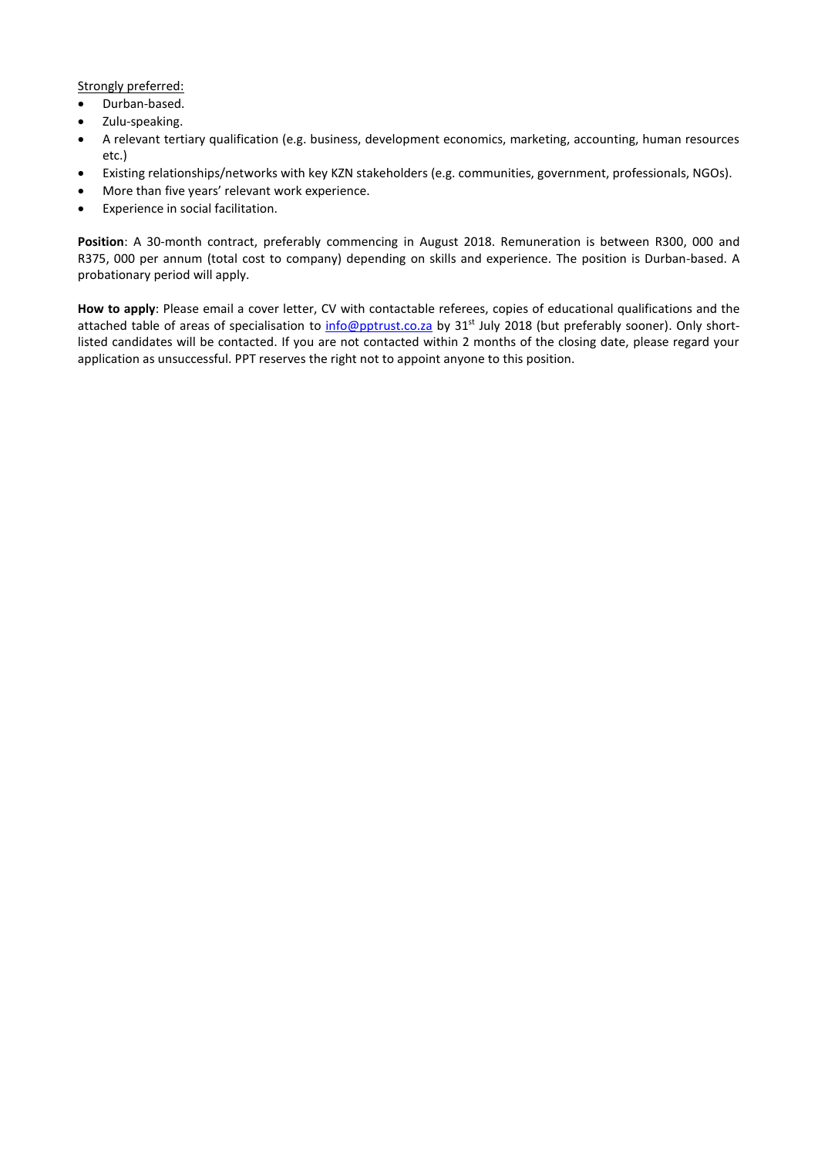Strongly preferred:

- Durban-based.
- Zulu-speaking.
- A relevant tertiary qualification (e.g. business, development economics, marketing, accounting, human resources etc.)
- Existing relationships/networks with key KZN stakeholders (e.g. communities, government, professionals, NGOs).
- More than five years' relevant work experience.
- Experience in social facilitation.

**Position**: A 30-month contract, preferably commencing in August 2018. Remuneration is between R300, 000 and R375, 000 per annum (total cost to company) depending on skills and experience. The position is Durban-based. A probationary period will apply.

**How to apply**: Please email a cover letter, CV with contactable referees, copies of educational qualifications and the attached table of areas of specialisation to [info@pptrust.co.za](mailto:info@pptrust.co.za) by 31<sup>st</sup> July 2018 (but preferably sooner). Only shortlisted candidates will be contacted. If you are not contacted within 2 months of the closing date, please regard your application as unsuccessful. PPT reserves the right not to appoint anyone to this position.